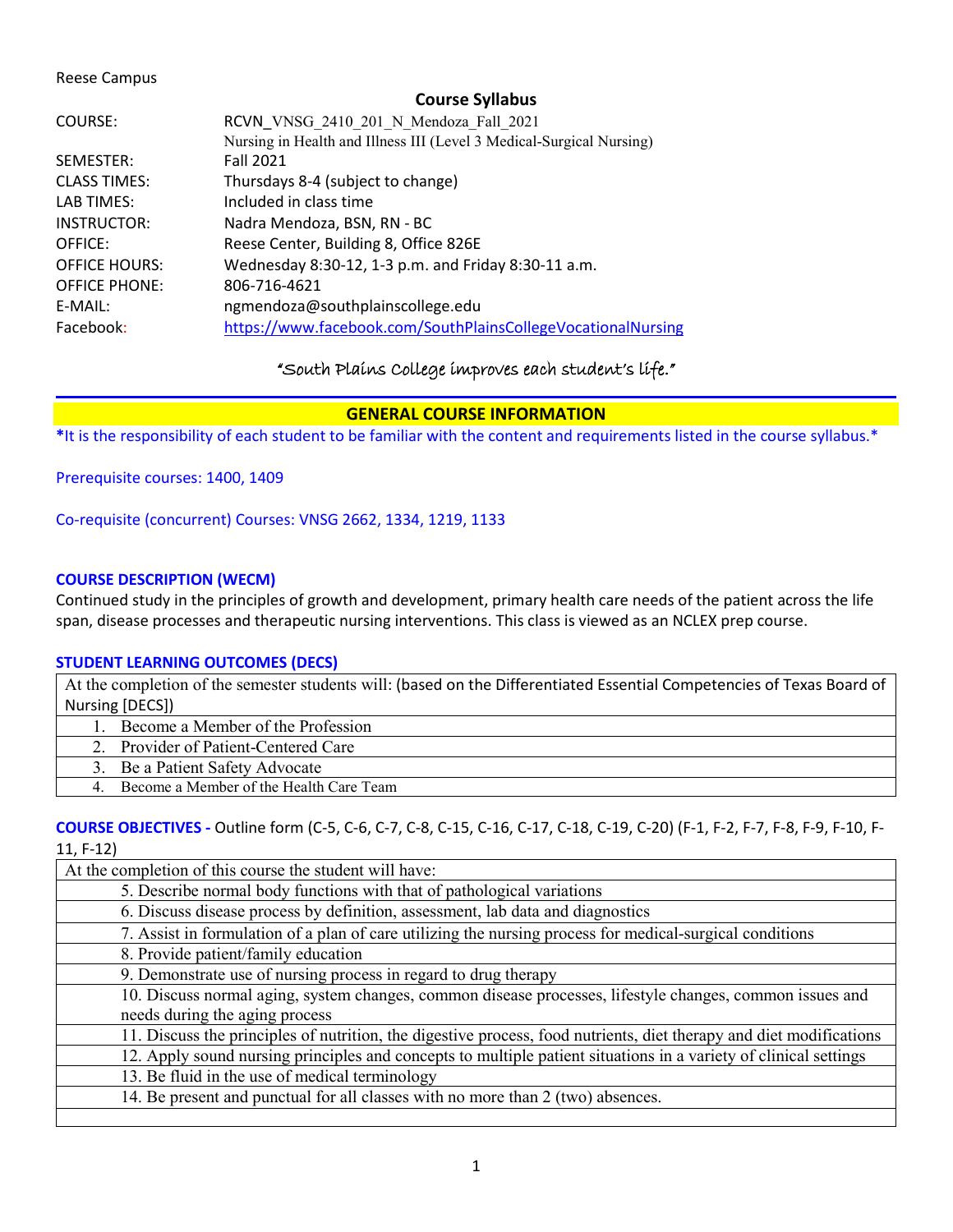## Reese Campus

# **Course Syllabus**

| COURSE:              | RCVN VNSG 2410 201 N Mendoza Fall 2021                               |
|----------------------|----------------------------------------------------------------------|
|                      | Nursing in Health and Illness III (Level 3 Medical-Surgical Nursing) |
| SEMESTER:            | Fall 2021                                                            |
| <b>CLASS TIMES:</b>  | Thursdays 8-4 (subject to change)                                    |
| LAB TIMES:           | Included in class time                                               |
| INSTRUCTOR:          | Nadra Mendoza, BSN, RN - BC                                          |
| OFFICE:              | Reese Center, Building 8, Office 826E                                |
| <b>OFFICE HOURS:</b> | Wednesday 8:30-12, 1-3 p.m. and Friday 8:30-11 a.m.                  |
| <b>OFFICE PHONE:</b> | 806-716-4621                                                         |
| E-MAIL:              | ngmendoza@southplainscollege.edu                                     |
| Facebook:            | https://www.facebook.com/SouthPlainsCollegeVocationalNursing         |

"South Plains College improves each student's life."

# **GENERAL COURSE INFORMATION**

**\***It is the responsibility of each student to be familiar with the content and requirements listed in the course syllabus.\*

Prerequisite courses: 1400, 1409

Co-requisite (concurrent) Courses: VNSG 2662, 1334, 1219, 1133

# **COURSE DESCRIPTION (WECM)**

Continued study in the principles of growth and development, primary health care needs of the patient across the life span, disease processes and therapeutic nursing interventions. This class is viewed as an NCLEX prep course.

# **STUDENT LEARNING OUTCOMES (DECS)**

At the completion of the semester students will: (based on the Differentiated Essential Competencies of Texas Board of Nursing [DECS])

1. Become a Member of the Profession

2. Provider of Patient-Centered Care

3. Be a Patient Safety Advocate

4. Become a Member of the Health Care Team

**COURSE OBJECTIVES -** Outline form (C-5, C-6, C-7, C-8, C-15, C-16, C-17, C-18, C-19, C-20) (F-1, F-2, F-7, F-8, F-9, F-10, F-11, F-12)

| At the completion of this course the student will have:                                                             |  |  |
|---------------------------------------------------------------------------------------------------------------------|--|--|
| 5. Describe normal body functions with that of pathological variations                                              |  |  |
| 6. Discuss disease process by definition, assessment, lab data and diagnostics                                      |  |  |
| 7. Assist in formulation of a plan of care utilizing the nursing process for medical-surgical conditions            |  |  |
| 8. Provide patient/family education                                                                                 |  |  |
| 9. Demonstrate use of nursing process in regard to drug therapy                                                     |  |  |
| 10. Discuss normal aging, system changes, common disease processes, lifestyle changes, common issues and            |  |  |
| needs during the aging process                                                                                      |  |  |
| 11. Discuss the principles of nutrition, the digestive process, food nutrients, diet therapy and diet modifications |  |  |
| 12. Apply sound nursing principles and concepts to multiple patient situations in a variety of clinical settings    |  |  |
| 13. Be fluid in the use of medical terminology                                                                      |  |  |
| 14. Be present and punctual for all classes with no more than 2 (two) absences.                                     |  |  |
|                                                                                                                     |  |  |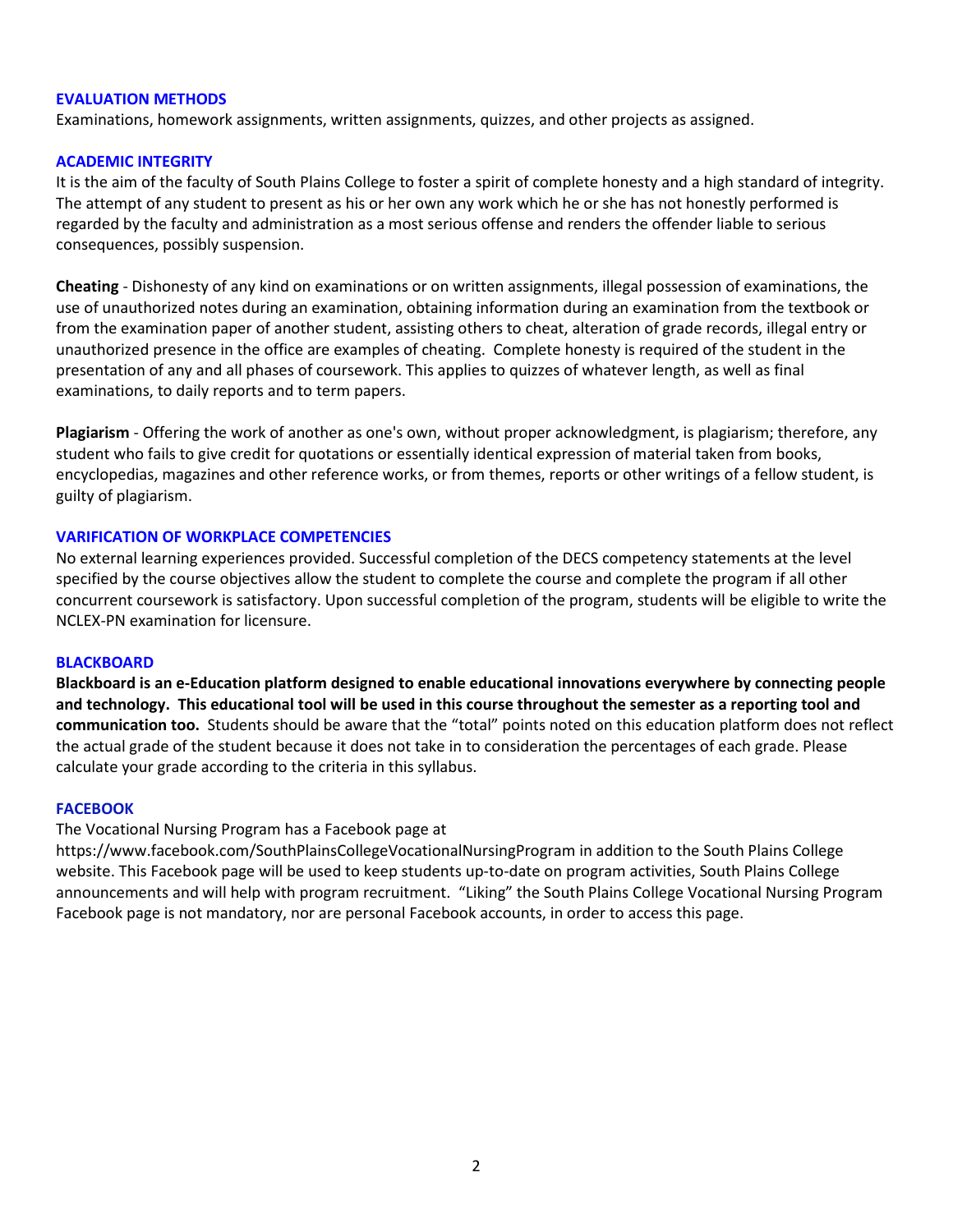# **EVALUATION METHODS**

Examinations, homework assignments, written assignments, quizzes, and other projects as assigned.

# **ACADEMIC INTEGRITY**

It is the aim of the faculty of South Plains College to foster a spirit of complete honesty and a high standard of integrity. The attempt of any student to present as his or her own any work which he or she has not honestly performed is regarded by the faculty and administration as a most serious offense and renders the offender liable to serious consequences, possibly suspension.

**Cheating** - Dishonesty of any kind on examinations or on written assignments, illegal possession of examinations, the use of unauthorized notes during an examination, obtaining information during an examination from the textbook or from the examination paper of another student, assisting others to cheat, alteration of grade records, illegal entry or unauthorized presence in the office are examples of cheating. Complete honesty is required of the student in the presentation of any and all phases of coursework. This applies to quizzes of whatever length, as well as final examinations, to daily reports and to term papers.

**Plagiarism** - Offering the work of another as one's own, without proper acknowledgment, is plagiarism; therefore, any student who fails to give credit for quotations or essentially identical expression of material taken from books, encyclopedias, magazines and other reference works, or from themes, reports or other writings of a fellow student, is guilty of plagiarism.

# **VARIFICATION OF WORKPLACE COMPETENCIES**

No external learning experiences provided. Successful completion of the DECS competency statements at the level specified by the course objectives allow the student to complete the course and complete the program if all other concurrent coursework is satisfactory. Upon successful completion of the program, students will be eligible to write the NCLEX-PN examination for licensure.

### **BLACKBOARD**

**Blackboard is an e-Education platform designed to enable educational innovations everywhere by connecting people and technology. This educational tool will be used in this course throughout the semester as a reporting tool and communication too.** Students should be aware that the "total" points noted on this education platform does not reflect the actual grade of the student because it does not take in to consideration the percentages of each grade. Please calculate your grade according to the criteria in this syllabus.

### **FACEBOOK**

### The Vocational Nursing Program has a Facebook page at

https://www.facebook.com/SouthPlainsCollegeVocationalNursingProgram in addition to the South Plains College website. This Facebook page will be used to keep students up-to-date on program activities, South Plains College announcements and will help with program recruitment. "Liking" the South Plains College Vocational Nursing Program Facebook page is not mandatory, nor are personal Facebook accounts, in order to access this page.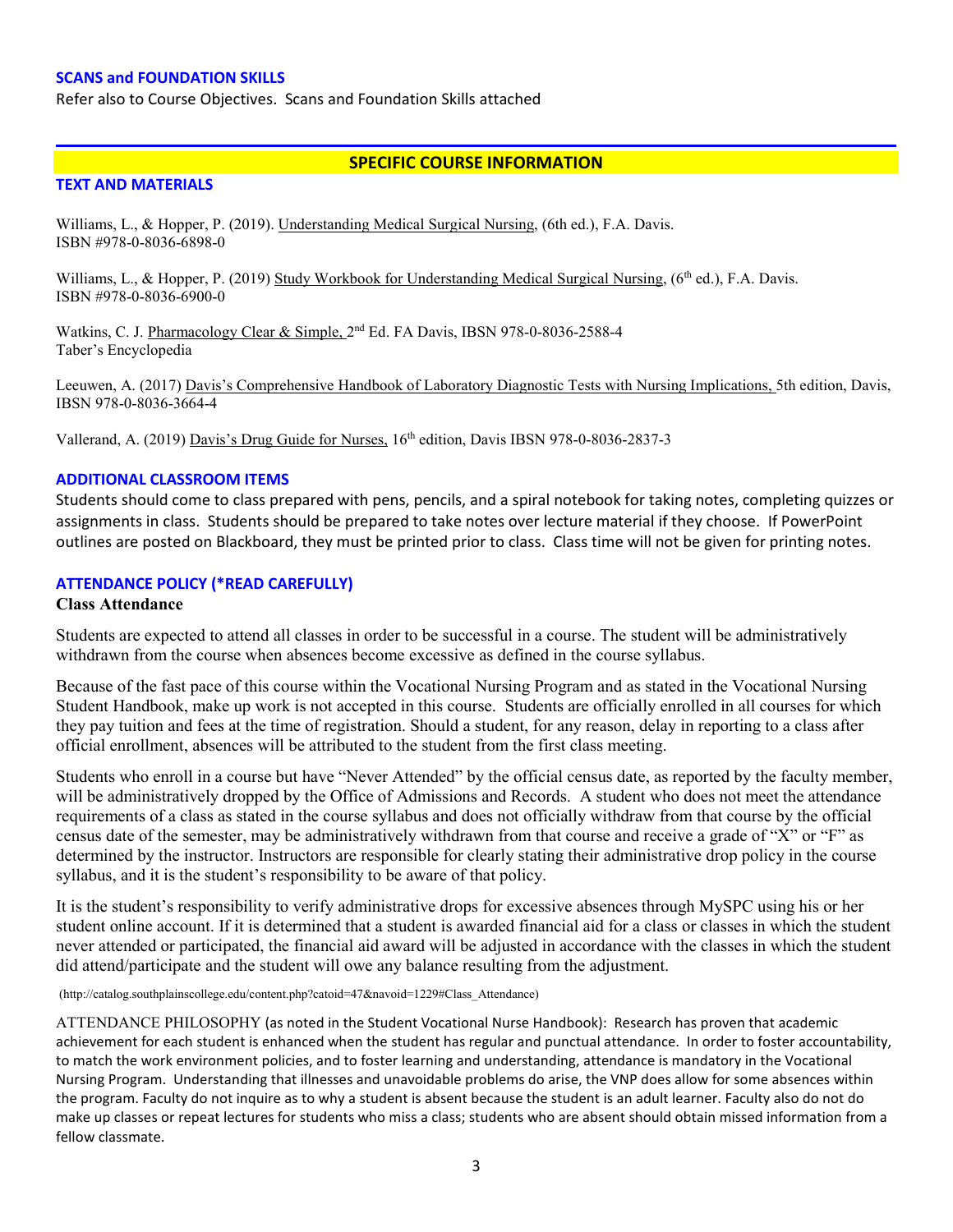#### **SCANS and FOUNDATION SKILLS**

Refer also to Course Objectives. Scans and Foundation Skills attached

# **SPECIFIC COURSE INFORMATION**

## **TEXT AND MATERIALS**

Williams, L., & Hopper, P. (2019). Understanding Medical Surgical Nursing, (6th ed.), F.A. Davis. ISBN #978-0-8036-6898-0

Williams, L., & Hopper, P. (2019) Study Workbook for Understanding Medical Surgical Nursing,  $(6<sup>th</sup>$ ed.), F.A. Davis. ISBN #978-0-8036-6900-0

Watkins, C. J. Pharmacology Clear & Simple, 2<sup>nd</sup> Ed. FA Davis, IBSN 978-0-8036-2588-4 Taber's Encyclopedia

Leeuwen, A. (2017) Davis's Comprehensive Handbook of Laboratory Diagnostic Tests with Nursing Implications, 5th edition, Davis, IBSN 978-0-8036-3664-4

Vallerand, A. (2019) Davis's Drug Guide for Nurses, 16th edition, Davis IBSN 978-0-8036-2837-3

## **ADDITIONAL CLASSROOM ITEMS**

Students should come to class prepared with pens, pencils, and a spiral notebook for taking notes, completing quizzes or assignments in class. Students should be prepared to take notes over lecture material if they choose. If PowerPoint outlines are posted on Blackboard, they must be printed prior to class. Class time will not be given for printing notes.

### **ATTENDANCE POLICY (\*READ CAREFULLY)**

#### **Class Attendance**

Students are expected to attend all classes in order to be successful in a course. The student will be administratively withdrawn from the course when absences become excessive as defined in the course syllabus.

Because of the fast pace of this course within the Vocational Nursing Program and as stated in the Vocational Nursing Student Handbook, make up work is not accepted in this course. Students are officially enrolled in all courses for which they pay tuition and fees at the time of registration. Should a student, for any reason, delay in reporting to a class after official enrollment, absences will be attributed to the student from the first class meeting.

Students who enroll in a course but have "Never Attended" by the official census date, as reported by the faculty member, will be administratively dropped by the Office of Admissions and Records. A student who does not meet the attendance requirements of a class as stated in the course syllabus and does not officially withdraw from that course by the official census date of the semester, may be administratively withdrawn from that course and receive a grade of "X" or "F" as determined by the instructor. Instructors are responsible for clearly stating their administrative drop policy in the course syllabus, and it is the student's responsibility to be aware of that policy.

It is the student's responsibility to verify administrative drops for excessive absences through MySPC using his or her student online account. If it is determined that a student is awarded financial aid for a class or classes in which the student never attended or participated, the financial aid award will be adjusted in accordance with the classes in which the student did attend/participate and the student will owe any balance resulting from the adjustment.

(http://catalog.southplainscollege.edu/content.php?catoid=47&navoid=1229#Class\_Attendance)

ATTENDANCE PHILOSOPHY (as noted in the Student Vocational Nurse Handbook): Research has proven that academic achievement for each student is enhanced when the student has regular and punctual attendance. In order to foster accountability, to match the work environment policies, and to foster learning and understanding, attendance is mandatory in the Vocational Nursing Program. Understanding that illnesses and unavoidable problems do arise, the VNP does allow for some absences within the program. Faculty do not inquire as to why a student is absent because the student is an adult learner. Faculty also do not do make up classes or repeat lectures for students who miss a class; students who are absent should obtain missed information from a fellow classmate.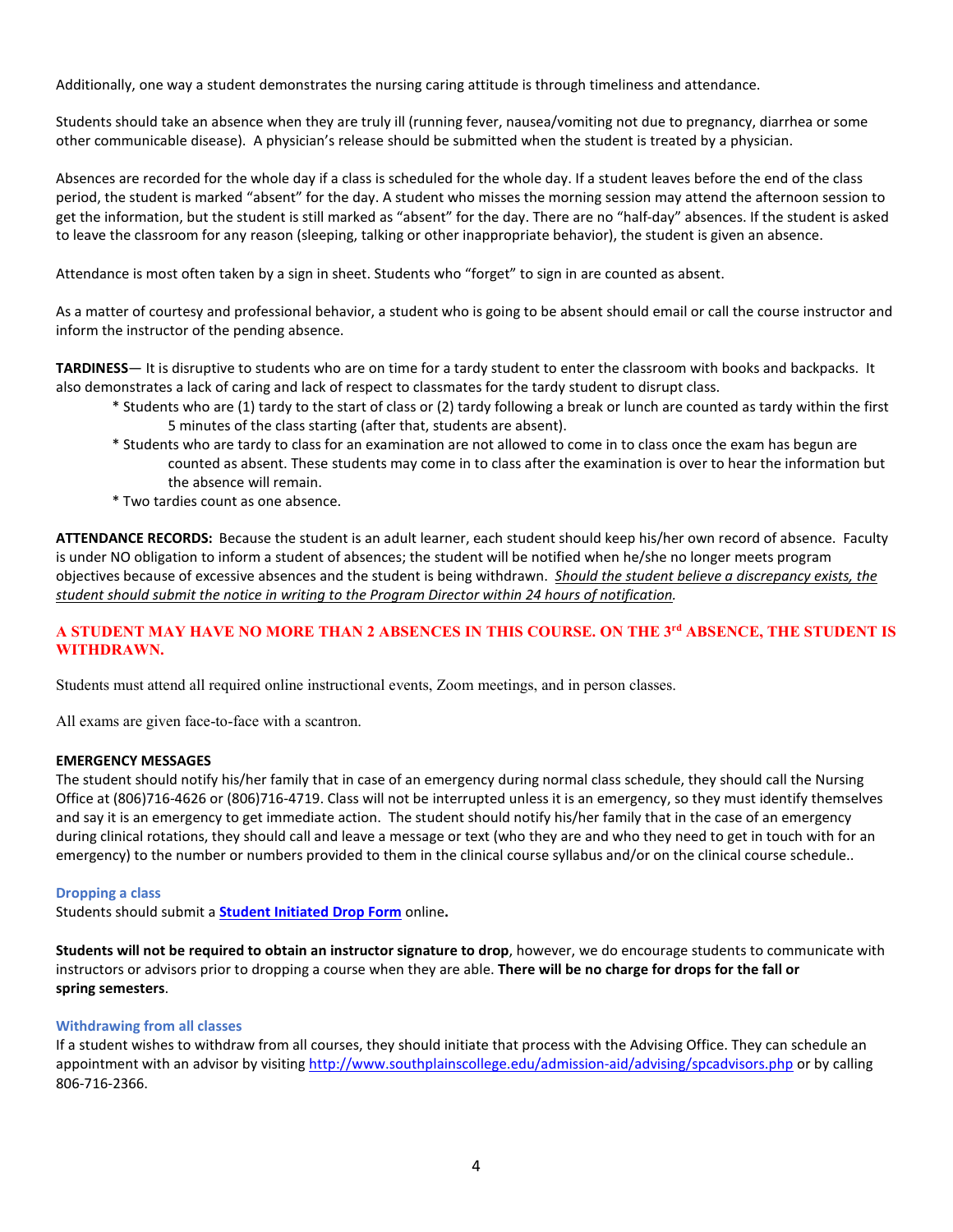Additionally, one way a student demonstrates the nursing caring attitude is through timeliness and attendance.

Students should take an absence when they are truly ill (running fever, nausea/vomiting not due to pregnancy, diarrhea or some other communicable disease). A physician's release should be submitted when the student is treated by a physician.

Absences are recorded for the whole day if a class is scheduled for the whole day. If a student leaves before the end of the class period, the student is marked "absent" for the day. A student who misses the morning session may attend the afternoon session to get the information, but the student is still marked as "absent" for the day. There are no "half-day" absences. If the student is asked to leave the classroom for any reason (sleeping, talking or other inappropriate behavior), the student is given an absence.

Attendance is most often taken by a sign in sheet. Students who "forget" to sign in are counted as absent.

As a matter of courtesy and professional behavior, a student who is going to be absent should email or call the course instructor and inform the instructor of the pending absence.

**TARDINESS**— It is disruptive to students who are on time for a tardy student to enter the classroom with books and backpacks. It also demonstrates a lack of caring and lack of respect to classmates for the tardy student to disrupt class.

- \* Students who are (1) tardy to the start of class or (2) tardy following a break or lunch are counted as tardy within the first 5 minutes of the class starting (after that, students are absent).
- \* Students who are tardy to class for an examination are not allowed to come in to class once the exam has begun are counted as absent. These students may come in to class after the examination is over to hear the information but the absence will remain.
- \* Two tardies count as one absence.

**ATTENDANCE RECORDS:** Because the student is an adult learner, each student should keep his/her own record of absence. Faculty is under NO obligation to inform a student of absences; the student will be notified when he/she no longer meets program objectives because of excessive absences and the student is being withdrawn. *Should the student believe a discrepancy exists, the student should submit the notice in writing to the Program Director within 24 hours of notification.*

### **A STUDENT MAY HAVE NO MORE THAN 2 ABSENCES IN THIS COURSE. ON THE 3rd ABSENCE, THE STUDENT IS WITHDRAWN.**

Students must attend all required online instructional events, Zoom meetings, and in person classes.

All exams are given face-to-face with a scantron.

#### **EMERGENCY MESSAGES**

The student should notify his/her family that in case of an emergency during normal class schedule, they should call the Nursing Office at (806)716-4626 or (806)716-4719. Class will not be interrupted unless it is an emergency, so they must identify themselves and say it is an emergency to get immediate action. The student should notify his/her family that in the case of an emergency during clinical rotations, they should call and leave a message or text (who they are and who they need to get in touch with for an emergency) to the number or numbers provided to them in the clinical course syllabus and/or on the clinical course schedule..

#### **Dropping a class**

Students should submit a **Student [Initiated](https://forms.office.com/Pages/ResponsePage.aspx?id=ZrGRbWrP6UWeIqAmJdCCqRkmPIpp6AVCixFJfcqITt9UODExTUFXS0JOODhJOTlYM0NEV1kzRk9GMS4u) Drop Form** online**.**

**Students will not be required to obtain an instructor signature to drop**, however, we do encourage students to communicate with instructors or advisors prior to dropping a course when they are able. **There will be no charge for drops for the fall or spring semesters**.

#### **Withdrawing from all classes**

If a student wishes to withdraw from all courses, they should initiate that process with the Advising Office. They can schedule an appointment with an advisor by visiting <http://www.southplainscollege.edu/admission-aid/advising/spcadvisors.php> or by calling 806-716-2366.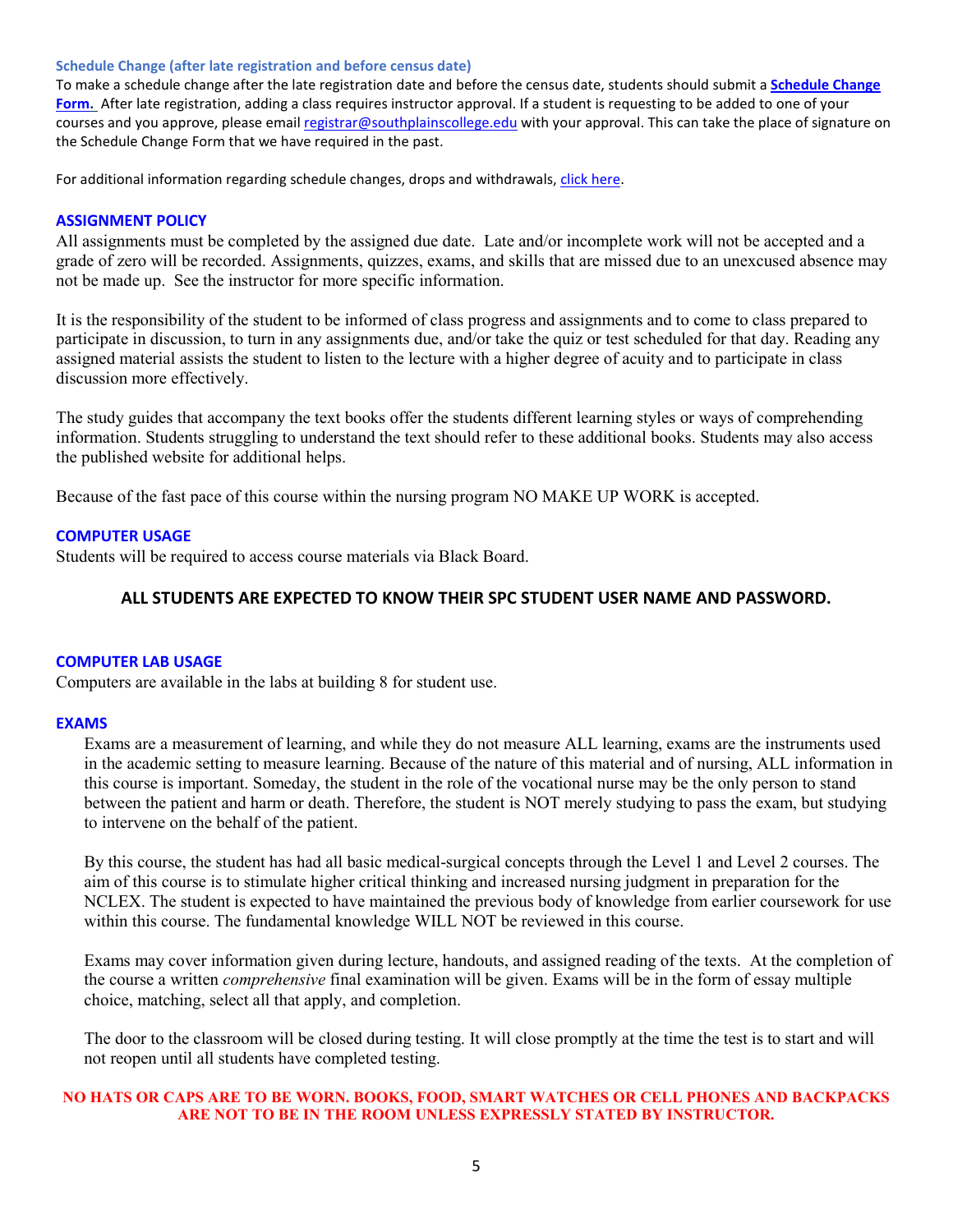#### **Schedule Change (after late registration and before census date)**

To make a schedule change after the late registration date and before the census date, students should submit a **[Schedule](https://forms.office.com/Pages/ResponsePage.aspx?id=ZrGRbWrP6UWeIqAmJdCCqRkmPIpp6AVCixFJfcqITt9UODIyTkRZSkFHVDNSVFRFV0g0T0tVWVAwRi4u) Change [Form.](https://forms.office.com/Pages/ResponsePage.aspx?id=ZrGRbWrP6UWeIqAmJdCCqRkmPIpp6AVCixFJfcqITt9UODIyTkRZSkFHVDNSVFRFV0g0T0tVWVAwRi4u)** After late registration, adding a class requires instructor approval. If a student is requesting to be added to one of your courses and you approve, please email [registrar@southplainscollege.edu](mailto:registrar@southplainscollege.edu) with your approval. This can take the place of signature on the Schedule Change Form that we have required in the past.

For additional information regarding schedule changes, drops and withdrawals, click [here.](http://www.southplainscollege.edu/admission-aid/apply/schedulechanges.php)

#### **ASSIGNMENT POLICY**

All assignments must be completed by the assigned due date. Late and/or incomplete work will not be accepted and a grade of zero will be recorded. Assignments, quizzes, exams, and skills that are missed due to an unexcused absence may not be made up. See the instructor for more specific information.

It is the responsibility of the student to be informed of class progress and assignments and to come to class prepared to participate in discussion, to turn in any assignments due, and/or take the quiz or test scheduled for that day. Reading any assigned material assists the student to listen to the lecture with a higher degree of acuity and to participate in class discussion more effectively.

The study guides that accompany the text books offer the students different learning styles or ways of comprehending information. Students struggling to understand the text should refer to these additional books. Students may also access the published website for additional helps.

Because of the fast pace of this course within the nursing program NO MAKE UP WORK is accepted.

#### **COMPUTER USAGE**

Students will be required to access course materials via Black Board.

# **ALL STUDENTS ARE EXPECTED TO KNOW THEIR SPC STUDENT USER NAME AND PASSWORD.**

#### **COMPUTER LAB USAGE**

Computers are available in the labs at building 8 for student use.

#### **EXAMS**

Exams are a measurement of learning, and while they do not measure ALL learning, exams are the instruments used in the academic setting to measure learning. Because of the nature of this material and of nursing, ALL information in this course is important. Someday, the student in the role of the vocational nurse may be the only person to stand between the patient and harm or death. Therefore, the student is NOT merely studying to pass the exam, but studying to intervene on the behalf of the patient.

By this course, the student has had all basic medical-surgical concepts through the Level 1 and Level 2 courses. The aim of this course is to stimulate higher critical thinking and increased nursing judgment in preparation for the NCLEX. The student is expected to have maintained the previous body of knowledge from earlier coursework for use within this course. The fundamental knowledge WILL NOT be reviewed in this course.

Exams may cover information given during lecture, handouts, and assigned reading of the texts. At the completion of the course a written *comprehensive* final examination will be given. Exams will be in the form of essay multiple choice, matching, select all that apply, and completion.

The door to the classroom will be closed during testing. It will close promptly at the time the test is to start and will not reopen until all students have completed testing.

## **NO HATS OR CAPS ARE TO BE WORN. BOOKS, FOOD, SMART WATCHES OR CELL PHONES AND BACKPACKS ARE NOT TO BE IN THE ROOM UNLESS EXPRESSLY STATED BY INSTRUCTOR.**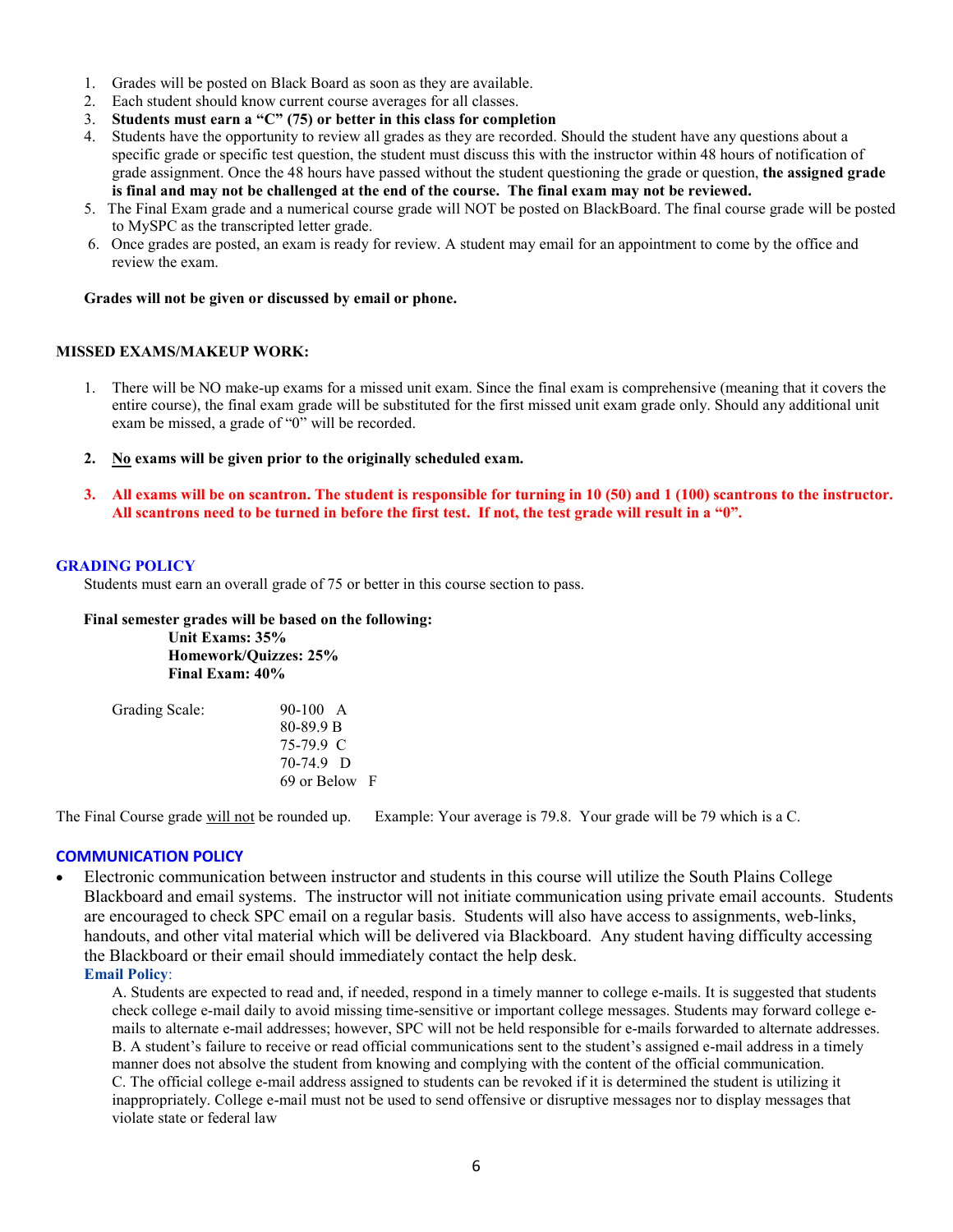- 1. Grades will be posted on Black Board as soon as they are available.
- 2. Each student should know current course averages for all classes.
- 3. **Students must earn a "C" (75) or better in this class for completion**
- 4. Students have the opportunity to review all grades as they are recorded. Should the student have any questions about a specific grade or specific test question, the student must discuss this with the instructor within 48 hours of notification of grade assignment. Once the 48 hours have passed without the student questioning the grade or question, **the assigned grade is final and may not be challenged at the end of the course. The final exam may not be reviewed.**
- 5. The Final Exam grade and a numerical course grade will NOT be posted on BlackBoard. The final course grade will be posted to MySPC as the transcripted letter grade.
- 6. Once grades are posted, an exam is ready for review. A student may email for an appointment to come by the office and review the exam.

#### **Grades will not be given or discussed by email or phone.**

## **MISSED EXAMS/MAKEUP WORK:**

- 1. There will be NO make-up exams for a missed unit exam. Since the final exam is comprehensive (meaning that it covers the entire course), the final exam grade will be substituted for the first missed unit exam grade only. Should any additional unit exam be missed, a grade of "0" will be recorded.
- **2. No exams will be given prior to the originally scheduled exam.**
- **3. All exams will be on scantron. The student is responsible for turning in 10 (50) and 1 (100) scantrons to the instructor. All scantrons need to be turned in before the first test. If not, the test grade will result in a "0".**

#### **GRADING POLICY**

Students must earn an overall grade of 75 or better in this course section to pass.

 **Final semester grades will be based on the following: Unit Exams: 35% Homework/Quizzes: 25% Final Exam: 40%**

| Grading Scale: | $90-100$ A    |
|----------------|---------------|
|                | 80-89.9 B     |
|                | 75-79.9 C     |
|                | $70-74.9$ D   |
|                | 69 or Below F |

The Final Course grade will not be rounded up. Example: Your average is 79.8. Your grade will be 79 which is a C.

### **COMMUNICATION POLICY**

• Electronic communication between instructor and students in this course will utilize the South Plains College Blackboard and email systems. The instructor will not initiate communication using private email accounts. Students are encouraged to check SPC email on a regular basis. Students will also have access to assignments, web-links, handouts, and other vital material which will be delivered via Blackboard. Any student having difficulty accessing the Blackboard or their email should immediately contact the help desk.

# **Email Policy**:

A. Students are expected to read and, if needed, respond in a timely manner to college e-mails. It is suggested that students check college e-mail daily to avoid missing time-sensitive or important college messages. Students may forward college emails to alternate e-mail addresses; however, SPC will not be held responsible for e-mails forwarded to alternate addresses. B. A student's failure to receive or read official communications sent to the student's assigned e-mail address in a timely manner does not absolve the student from knowing and complying with the content of the official communication. C. The official college e-mail address assigned to students can be revoked if it is determined the student is utilizing it inappropriately. College e-mail must not be used to send offensive or disruptive messages nor to display messages that violate state or federal law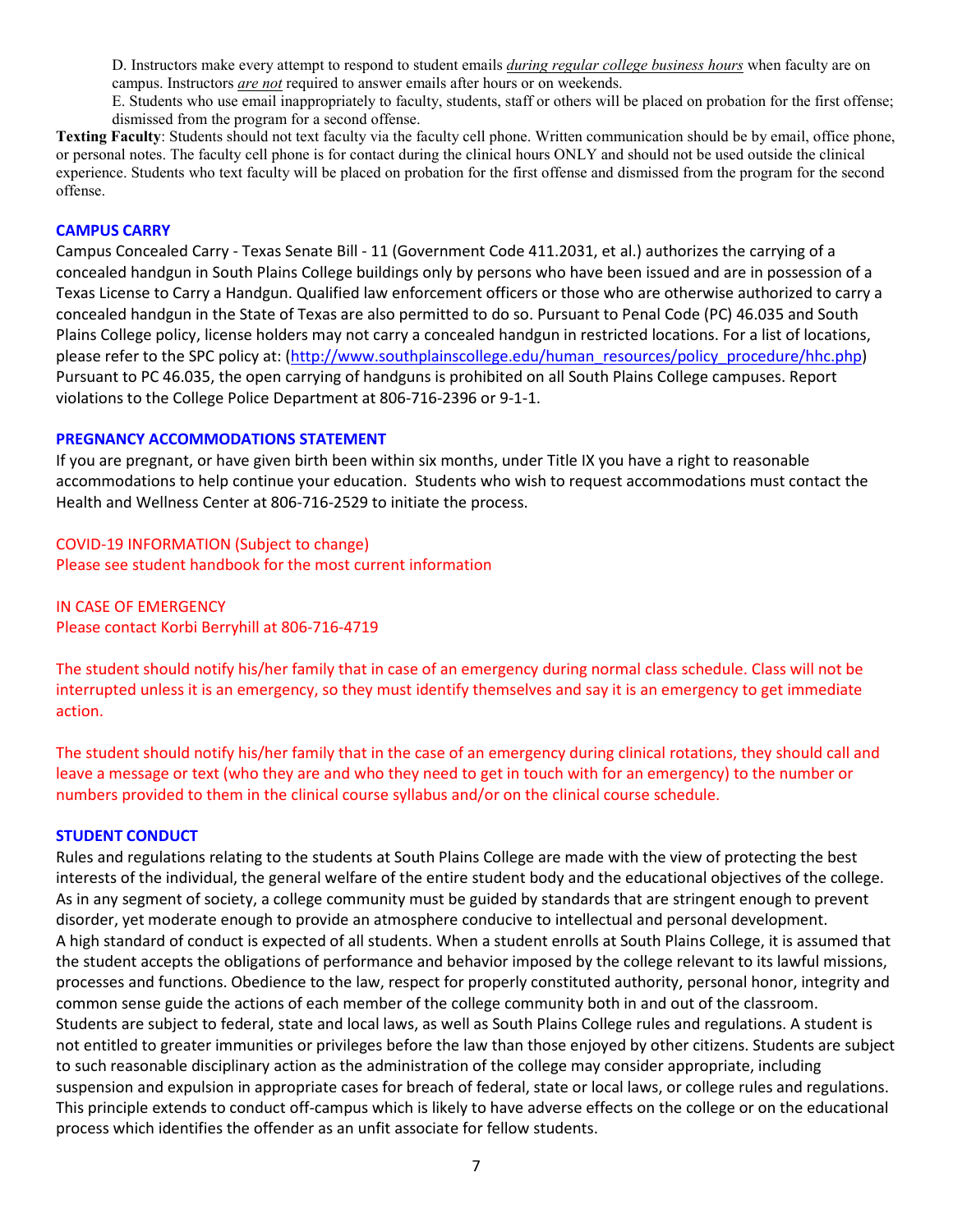D. Instructors make every attempt to respond to student emails *during regular college business hours* when faculty are on campus. Instructors *are not* required to answer emails after hours or on weekends.

E. Students who use email inappropriately to faculty, students, staff or others will be placed on probation for the first offense; dismissed from the program for a second offense.

**Texting Faculty**: Students should not text faculty via the faculty cell phone. Written communication should be by email, office phone, or personal notes. The faculty cell phone is for contact during the clinical hours ONLY and should not be used outside the clinical experience. Students who text faculty will be placed on probation for the first offense and dismissed from the program for the second offense.

# **CAMPUS CARRY**

Campus Concealed Carry - Texas Senate Bill - 11 (Government Code 411.2031, et al.) authorizes the carrying of a concealed handgun in South Plains College buildings only by persons who have been issued and are in possession of a Texas License to Carry a Handgun. Qualified law enforcement officers or those who are otherwise authorized to carry a concealed handgun in the State of Texas are also permitted to do so. Pursuant to Penal Code (PC) 46.035 and South Plains College policy, license holders may not carry a concealed handgun in restricted locations. For a list of locations, please refer to the SPC policy at: [\(http://www.southplainscollege.edu/human\\_resources/policy\\_procedure/hhc.php\)](http://www.southplainscollege.edu/human_resources/policy_procedure/hhc.php) Pursuant to PC 46.035, the open carrying of handguns is prohibited on all South Plains College campuses. Report violations to the College Police Department at 806-716-2396 or 9-1-1.

### **PREGNANCY ACCOMMODATIONS STATEMENT**

If you are pregnant, or have given birth been within six months, under Title IX you have a right to reasonable accommodations to help continue your education. Students who wish to request accommodations must contact the Health and Wellness Center at 806-716-2529 to initiate the process.

# COVID-19 INFORMATION (Subject to change) Please see student handbook for the most current information

IN CASE OF EMERGENCY Please contact Korbi Berryhill at 806-716-4719

The student should notify his/her family that in case of an emergency during normal class schedule. Class will not be interrupted unless it is an emergency, so they must identify themselves and say it is an emergency to get immediate action.

The student should notify his/her family that in the case of an emergency during clinical rotations, they should call and leave a message or text (who they are and who they need to get in touch with for an emergency) to the number or numbers provided to them in the clinical course syllabus and/or on the clinical course schedule.

### **STUDENT CONDUCT**

Rules and regulations relating to the students at South Plains College are made with the view of protecting the best interests of the individual, the general welfare of the entire student body and the educational objectives of the college. As in any segment of society, a college community must be guided by standards that are stringent enough to prevent disorder, yet moderate enough to provide an atmosphere conducive to intellectual and personal development. A high standard of conduct is expected of all students. When a student enrolls at South Plains College, it is assumed that the student accepts the obligations of performance and behavior imposed by the college relevant to its lawful missions, processes and functions. Obedience to the law, respect for properly constituted authority, personal honor, integrity and common sense guide the actions of each member of the college community both in and out of the classroom. Students are subject to federal, state and local laws, as well as South Plains College rules and regulations. A student is not entitled to greater immunities or privileges before the law than those enjoyed by other citizens. Students are subject to such reasonable disciplinary action as the administration of the college may consider appropriate, including suspension and expulsion in appropriate cases for breach of federal, state or local laws, or college rules and regulations. This principle extends to conduct off-campus which is likely to have adverse effects on the college or on the educational process which identifies the offender as an unfit associate for fellow students.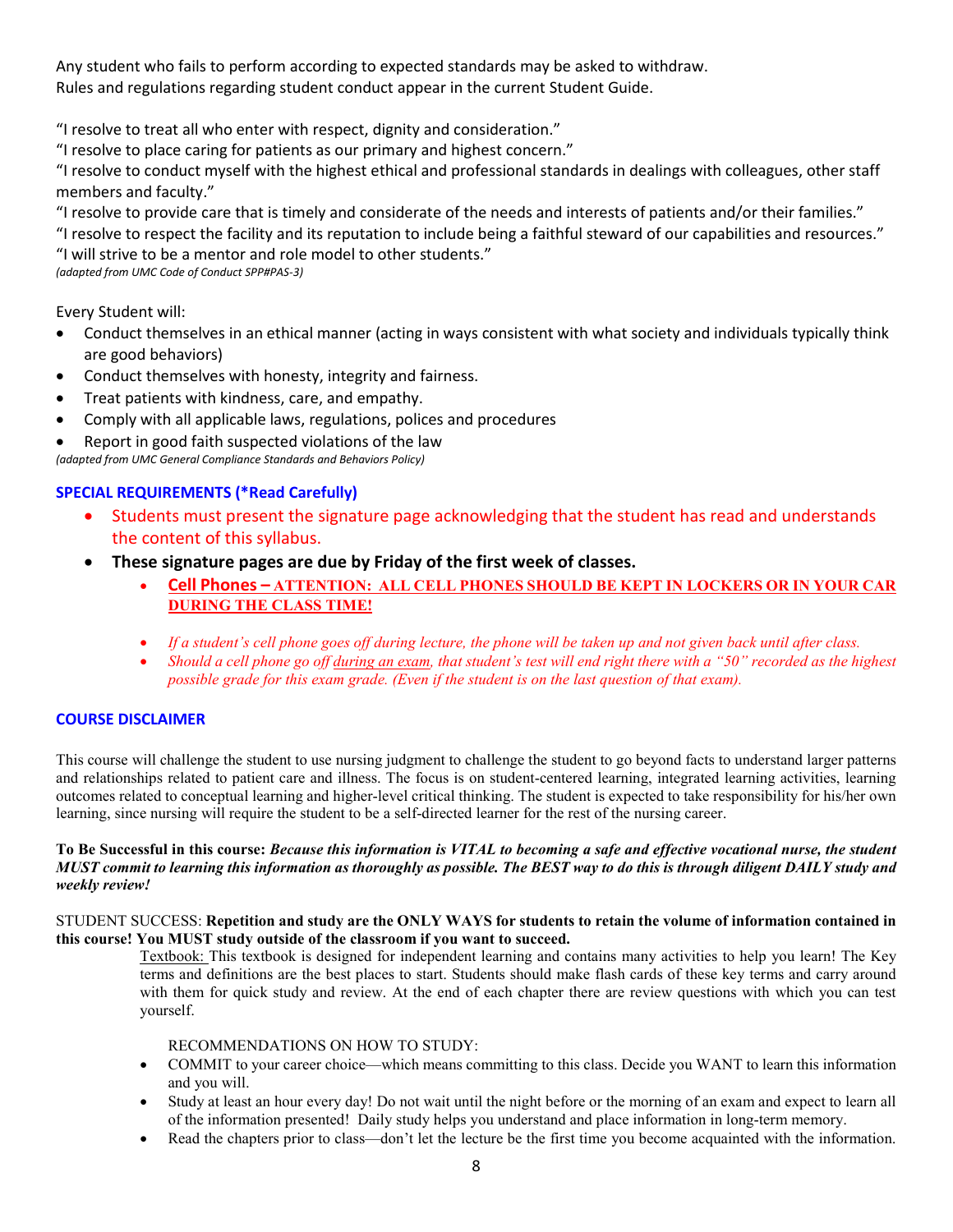Any student who fails to perform according to expected standards may be asked to withdraw. Rules and regulations regarding student conduct appear in the current Student Guide.

"I resolve to treat all who enter with respect, dignity and consideration."

"I resolve to place caring for patients as our primary and highest concern."

"I resolve to conduct myself with the highest ethical and professional standards in dealings with colleagues, other staff members and faculty."

"I resolve to provide care that is timely and considerate of the needs and interests of patients and/or their families."

"I resolve to respect the facility and its reputation to include being a faithful steward of our capabilities and resources." "I will strive to be a mentor and role model to other students."

*(adapted from UMC Code of Conduct SPP#PAS-3)*

Every Student will:

- Conduct themselves in an ethical manner (acting in ways consistent with what society and individuals typically think are good behaviors)
- Conduct themselves with honesty, integrity and fairness.
- Treat patients with kindness, care, and empathy.
- Comply with all applicable laws, regulations, polices and procedures
- Report in good faith suspected violations of the law

*(adapted from UMC General Compliance Standards and Behaviors Policy)*

# **SPECIAL REQUIREMENTS (\*Read Carefully)**

- Students must present the signature page acknowledging that the student has read and understands the content of this syllabus.
- **These signature pages are due by Friday of the first week of classes.**
	- **Cell Phones – ATTENTION: ALL CELL PHONES SHOULD BE KEPT IN LOCKERS OR IN YOUR CAR DURING THE CLASS TIME!**
	- *If a student's cell phone goes off during lecture, the phone will be taken up and not given back until after class.*
	- *Should a cell phone go off during an exam, that student's test will end right there with a "50" recorded as the highest possible grade for this exam grade. (Even if the student is on the last question of that exam).*

# **COURSE DISCLAIMER**

This course will challenge the student to use nursing judgment to challenge the student to go beyond facts to understand larger patterns and relationships related to patient care and illness. The focus is on student-centered learning, integrated learning activities, learning outcomes related to conceptual learning and higher-level critical thinking. The student is expected to take responsibility for his/her own learning, since nursing will require the student to be a self-directed learner for the rest of the nursing career.

## **To Be Successful in this course:** *Because this information is VITAL to becoming a safe and effective vocational nurse, the student MUST commit to learning this information as thoroughly as possible. The BEST way to do this is through diligent DAILY study and weekly review!*

#### STUDENT SUCCESS: **Repetition and study are the ONLY WAYS for students to retain the volume of information contained in this course! You MUST study outside of the classroom if you want to succeed.**

Textbook: This textbook is designed for independent learning and contains many activities to help you learn! The Key terms and definitions are the best places to start. Students should make flash cards of these key terms and carry around with them for quick study and review. At the end of each chapter there are review questions with which you can test yourself.

### RECOMMENDATIONS ON HOW TO STUDY:

- COMMIT to your career choice—which means committing to this class. Decide you WANT to learn this information and you will.
- Study at least an hour every day! Do not wait until the night before or the morning of an exam and expect to learn all of the information presented! Daily study helps you understand and place information in long-term memory.
- Read the chapters prior to class—don't let the lecture be the first time you become acquainted with the information.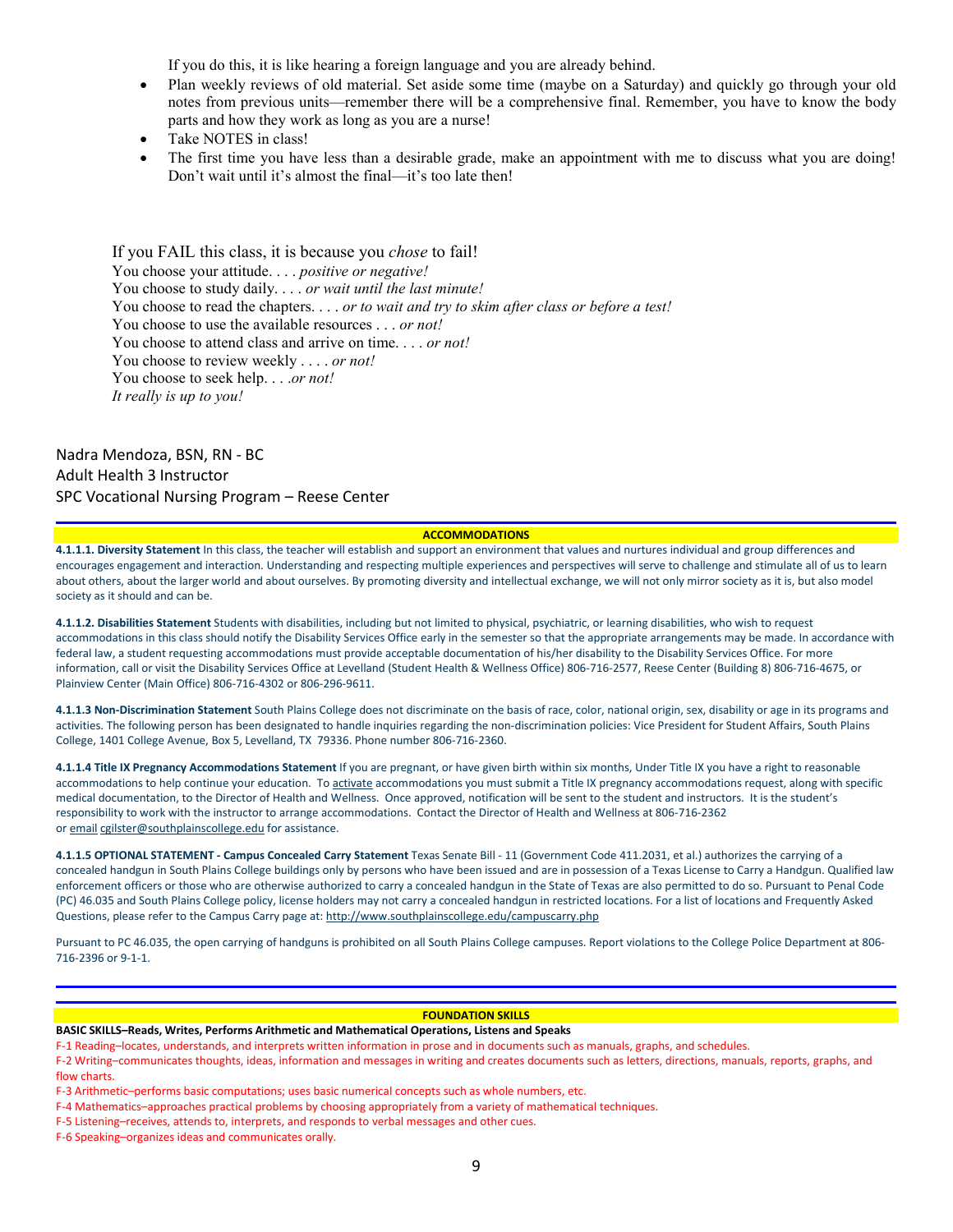If you do this, it is like hearing a foreign language and you are already behind.

- Plan weekly reviews of old material. Set aside some time (maybe on a Saturday) and quickly go through your old notes from previous units—remember there will be a comprehensive final. Remember, you have to know the body parts and how they work as long as you are a nurse!
- Take NOTES in class!
- The first time you have less than a desirable grade, make an appointment with me to discuss what you are doing! Don't wait until it's almost the final—it's too late then!

If you FAIL this class, it is because you *chose* to fail! You choose your attitude. . . . *positive or negative!* You choose to study daily. . . . *or wait until the last minute!* You choose to read the chapters. . . . *or to wait and try to skim after class or before a test!* You choose to use the available resources . . . *or not!* You choose to attend class and arrive on time. . . . *or not!* You choose to review weekly . . . . *or not!* You choose to seek help. . . .*or not! It really is up to you!*

Nadra Mendoza, BSN, RN - BC Adult Health 3 Instructor SPC Vocational Nursing Program – Reese Center

#### **ACCOMMODATIONS**

**4.1.1.1. Diversity Statement** In this class, the teacher will establish and support an environment that values and nurtures individual and group differences and encourages engagement and interaction. Understanding and respecting multiple experiences and perspectives will serve to challenge and stimulate all of us to learn about others, about the larger world and about ourselves. By promoting diversity and intellectual exchange, we will not only mirror society as it is, but also model society as it should and can be.

**4.1.1.2. Disabilities Statement** Students with disabilities, including but not limited to physical, psychiatric, or learning disabilities, who wish to request accommodations in this class should notify the Disability Services Office early in the semester so that the appropriate arrangements may be made. In accordance with federal law, a student requesting accommodations must provide acceptable documentation of his/her disability to the Disability Services Office. For more information, call or visit the Disability Services Office at Levelland (Student Health & Wellness Office) 806-716-2577, Reese Center (Building 8) 806-716-4675, or Plainview Center (Main Office) 806-716-4302 or 806-296-9611.

**4.1.1.3 Non-Discrimination Statement** South Plains College does not discriminate on the basis of race, color, national origin, sex, disability or age in its programs and activities. The following person has been designated to handle inquiries regarding the non-discrimination policies: Vice President for Student Affairs, South Plains College, 1401 College Avenue, Box 5, Levelland, TX 79336. Phone number 806-716-2360.

**4.1.1.4 Title IX Pregnancy Accommodations Statement** If you are pregnant, or have given birth within six months, Under Title IX you have a right to reasonable accommodations to help continue your education. To [activate](http://www.southplainscollege.edu/employees/manualshandbooks/facultyhandbook/sec4.php) accommodations you must submit a Title IX pregnancy accommodations request, along with specific medical documentation, to the Director of Health and Wellness. Once approved, notification will be sent to the student and instructors. It is the student's responsibility to work with the instructor to arrange accommodations. Contact the Director of Health and Wellness at 806-716-2362 or [email](http://www.southplainscollege.edu/employees/manualshandbooks/facultyhandbook/sec4.php) [cgilster@southplainscollege.edu](mailto:cgilster@southplainscollege.edu) for assistance.

**4.1.1.5 OPTIONAL STATEMENT - Campus [Concealed Carry](http://www.southplainscollege.edu/employees/manualshandbooks/facultyhandbook/sec4.php) Statement** Texas Senate Bill - 11 (Government Code 411.2031, et al.) authorizes the carrying of a concealed handgun in South Plains College buildings only by persons who have been issued and are in possession of a Texas License to Carry a Handgun. Qualified law enforcement officers or those who are otherwise authorized to carry a concealed handgun in the State of Texas are also permitted to do so. Pursuant to Penal Code (PC) 46.035 and South Plains College policy, license holders may not carry a concealed handgun in restricted locations. For a list of locations and Frequently Asked Questions, please refer to the Campus Carry page at: <http://www.southplainscollege.edu/campuscarry.php>

Pursuant to PC 46.035, the open carrying of handguns is prohibited on all South Plains College campuses. Report violations to the College Police Department at 806- 716-2396 or 9-1-1.

#### **FOUNDATION SKILLS**

**BASIC SKILLS–Reads, Writes, Performs Arithmetic and Mathematical Operations, Listens and Speaks**

F-1 Reading–locates, understands, and interprets written information in prose and in documents such as manuals, graphs, and schedules.

F-2 Writing–communicates thoughts, ideas, information and messages in writing and creates documents such as letters, directions, manuals, reports, graphs, and flow charts.

F-3 Arithmetic–performs basic computations; uses basic numerical concepts such as whole numbers, etc.

F-4 Mathematics–approaches practical problems by choosing appropriately from a variety of mathematical techniques.

F-5 Listening–receives, attends to, interprets, and responds to verbal messages and other cues.

F-6 Speaking–organizes ideas and communicates orally.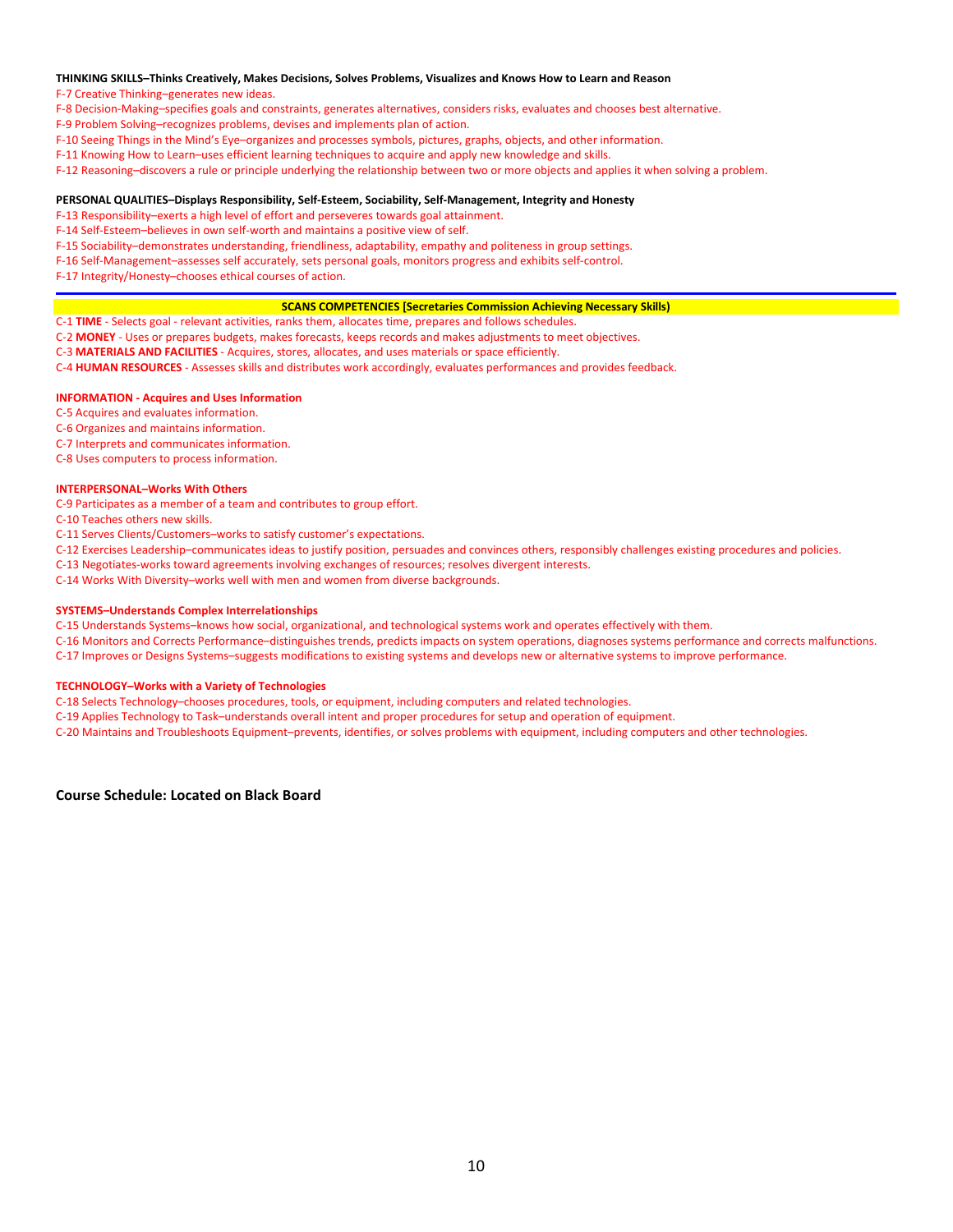#### **THINKING SKILLS–Thinks Creatively, Makes Decisions, Solves Problems, Visualizes and Knows How to Learn and Reason**

F-7 Creative Thinking–generates new ideas.

- F-8 Decision-Making–specifies goals and constraints, generates alternatives, considers risks, evaluates and chooses best alternative.
- F-9 Problem Solving–recognizes problems, devises and implements plan of action.
- F-10 Seeing Things in the Mind's Eye–organizes and processes symbols, pictures, graphs, objects, and other information.
- F-11 Knowing How to Learn–uses efficient learning techniques to acquire and apply new knowledge and skills.
- F-12 Reasoning–discovers a rule or principle underlying the relationship between two or more objects and applies it when solving a problem.

#### **PERSONAL QUALITIES–Displays Responsibility, Self-Esteem, Sociability, Self-Management, Integrity and Honesty**

F-13 Responsibility–exerts a high level of effort and perseveres towards goal attainment.

- F-14 Self-Esteem–believes in own self-worth and maintains a positive view of self.
- F-15 Sociability–demonstrates understanding, friendliness, adaptability, empathy and politeness in group settings.
- F-16 Self-Management–assesses self accurately, sets personal goals, monitors progress and exhibits self-control.
- F-17 Integrity/Honesty–chooses ethical courses of action.

#### **SCANS COMPETENCIES [Secretaries Commission Achieving Necessary Skills)**

C-1 **TIME** - Selects goal - relevant activities, ranks them, allocates time, prepares and follows schedules.

- C-2 **MONEY** Uses or prepares budgets, makes forecasts, keeps records and makes adjustments to meet objectives.
- C-3 **MATERIALS AND FACILITIES** Acquires, stores, allocates, and uses materials or space efficiently.
- C-4 **HUMAN RESOURCES** Assesses skills and distributes work accordingly, evaluates performances and provides feedback.

#### **INFORMATION - Acquires and Uses Information**

- C-5 Acquires and evaluates information.
- C-6 Organizes and maintains information.
- C-7 Interprets and communicates information.
- C-8 Uses computers to process information.

#### **INTERPERSONAL–Works With Others**

- C-9 Participates as a member of a team and contributes to group effort.
- C-10 Teaches others new skills.
- C-11 Serves Clients/Customers–works to satisfy customer's expectations.
- C-12 Exercises Leadership–communicates ideas to justify position, persuades and convinces others, responsibly challenges existing procedures and policies.
- C-13 Negotiates-works toward agreements involving exchanges of resources; resolves divergent interests.
- C-14 Works With Diversity–works well with men and women from diverse backgrounds.

#### **SYSTEMS–Understands Complex Interrelationships**

- C-15 Understands Systems–knows how social, organizational, and technological systems work and operates effectively with them.
- C-16 Monitors and Corrects Performance–distinguishes trends, predicts impacts on system operations, diagnoses systems performance and corrects malfunctions.
- C-17 Improves or Designs Systems–suggests modifications to existing systems and develops new or alternative systems to improve performance.

#### **TECHNOLOGY–Works with a Variety of Technologies**

- C-18 Selects Technology–chooses procedures, tools, or equipment, including computers and related technologies.
- C-19 Applies Technology to Task–understands overall intent and proper procedures for setup and operation of equipment.
- C-20 Maintains and Troubleshoots Equipment–prevents, identifies, or solves problems with equipment, including computers and other technologies.

**Course Schedule: Located on Black Board**